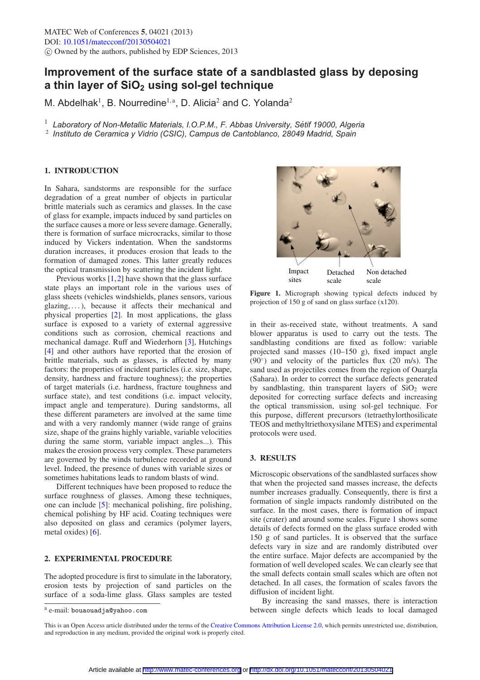# **Improvement of the surface state of a sandblasted glass by deposing** a thin layer of SiO<sub>2</sub> using sol-gel technique

M. Abdelhak<sup>1</sup>, B. Nourredine<sup>1,a</sup>, D. Alicia<sup>2</sup> and C. Yolanda<sup>2</sup>

<sup>1</sup> *Laboratory of Non-Metallic Materials, I.O.P.M., F. Abbas University, Setif 19000, Algeria ´*

<sup>2</sup> *Instituto de Ceramica y Vidrio (CSIC), Campus de Cantoblanco, 28049 Madrid, Spain*

## **1. INTRODUCTION**

In Sahara, sandstorms are responsible for the surface degradation of a great number of objects in particular brittle materials such as ceramics and glasses. In the case of glass for example, impacts induced by sand particles on the surface causes a more or less severe damage. Generally, there is formation of surface microcracks, similar to those induced by Vickers indentation. When the sandstorms duration increases, it produces erosion that leads to the formation of damaged zones. This latter greatly reduces the optical transmission by scattering the incident light.

Previous works  $[1,2]$  $[1,2]$  $[1,2]$  have shown that the glass surface state plays an important role in the various uses of glass sheets (vehicles windshields, planes sensors, various glazing, . . . ), because it affects their mechanical and physical properties [\[2](#page-1-1)]. In most applications, the glass surface is exposed to a variety of external aggressive conditions such as corrosion, chemical reactions and mechanical damage. Ruff and Wiederhorn [\[3](#page-1-2)], Hutchings [\[4](#page-1-3)] and other authors have reported that the erosion of brittle materials, such as glasses, is affected by many factors: the properties of incident particles (i.e. size, shape, density, hardness and fracture toughness); the properties of target materials (i.e. hardness, fracture toughness and surface state), and test conditions (i.e. impact velocity, impact angle and temperature). During sandstorms, all these different parameters are involved at the same time and with a very randomly manner (wide range of grains size, shape of the grains highly variable, variable velocities during the same storm, variable impact angles...). This makes the erosion process very complex. These parameters are governed by the winds turbulence recorded at ground level. Indeed, the presence of dunes with variable sizes or sometimes habitations leads to random blasts of wind.

Different techniques have been proposed to reduce the surface roughness of glasses. Among these techniques, one can include [\[5\]](#page-1-4): mechanical polishing, fire polishing, chemical polishing by HF acid. Coating techniques were also deposited on glass and ceramics (polymer layers, metal oxides) [\[6\]](#page-1-5).

### **2. EXPERIMENTAL PROCEDURE**

The adopted procedure is first to simulate in the laboratory, erosion tests by projection of sand particles on the surface of a soda-lime glass. Glass samples are tested

<span id="page-0-0"></span>

**Figure 1.** Micrograph showing typical defects induced by projection of 150 g of sand on glass surface (x120).

in their as-received state, without treatments. A sand blower apparatus is used to carry out the tests. The sandblasting conditions are fixed as follow: variable projected sand masses (10–150 g), fixed impact angle  $(90°)$  and velocity of the particles flux (20 m/s). The sand used as projectiles comes from the region of Ouargla (Sahara). In order to correct the surface defects generated by sandblasting, thin transparent layers of  $SiO<sub>2</sub>$  were deposited for correcting surface defects and increasing the optical transmission, using sol-gel technique. For this purpose, different precursors (tetraethylorthosilicate TEOS and methyltriethoxysilane MTES) and experimental protocols were used.

## **3. RESULTS**

Microscopic observations of the sandblasted surfaces show that when the projected sand masses increase, the defects number increases gradually. Consequently, there is first a formation of single impacts randomly distributed on the surface. In the most cases, there is formation of impact site (crater) and around some scales. Figure [1](#page-0-0) shows some details of defects formed on the glass surface eroded with 150 g of sand particles. It is observed that the surface defects vary in size and are randomly distributed over the entire surface. Major defects are accompanied by the formation of well developed scales. We can clearly see that the small defects contain small scales which are often not detached. In all cases, the formation of scales favors the diffusion of incident light.

By increasing the sand masses, there is interaction between single defects which leads to local damaged

<sup>a</sup> e-mail: bouaouadja@yahoo.com

This is an Open Access article distributed under the terms of the [Creative Commons Attribution License 2.0,](http://creativecommons.org/licenses/by/2.0/) which permits unrestricted use, distribution, and reproduction in any medium, provided the original work is properly cited.